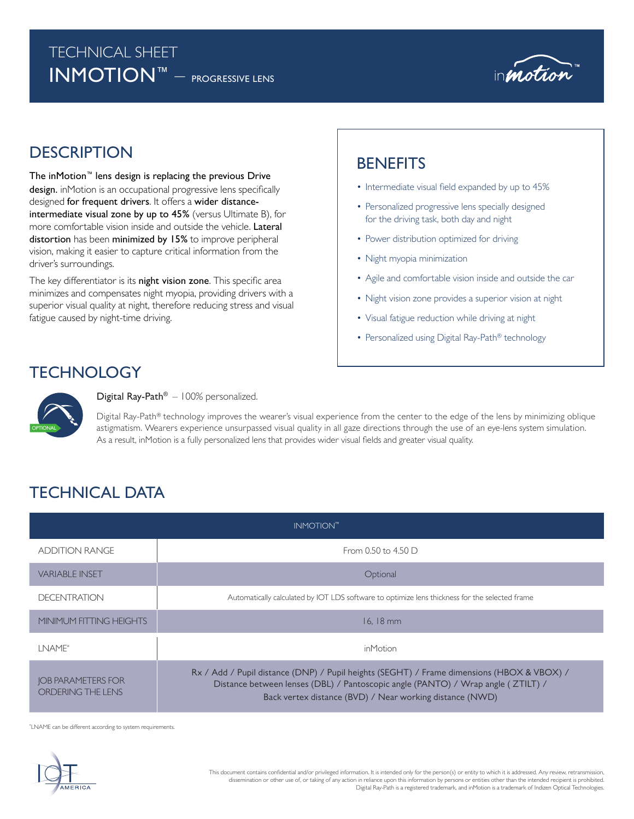## TECHNICAL SHEET INMOTION™ – PROGRESSIVE LENS



# DESCRIPTION BENEFITS

The inMotion™ lens design is replacing the previous Drive design. inMotion is an occupational progressive lens specifically designed for frequent drivers. It offers a wider distanceintermediate visual zone by up to 45% (versus Ultimate B), for more comfortable vision inside and outside the vehicle. Lateral distortion has been minimized by 15% to improve peripheral vision, making it easier to capture critical information from the driver's surroundings.

The key differentiator is its night vision zone. This specific area minimizes and compensates night myopia, providing drivers with a superior visual quality at night, therefore reducing stress and visual fatigue caused by night-time driving.

- Intermediate visual field expanded by up to 45%
- Personalized progressive lens specially designed for the driving task, both day and night
- Power distribution optimized for driving
- Night myopia minimization
- Agile and comfortable vision inside and outside the car
- Night vision zone provides a superior vision at night
- Visual fatigue reduction while driving at night
- Personalized using Digital Ray-Path® technology

### **TECHNOLOGY**

TECHNICAL DATA



### Digital Ray-Path® – 100% personalized.

Digital Ray-Path® technology improves the wearer's visual experience from the center to the edge of the lens by minimizing oblique astigmatism. Wearers experience unsurpassed visual quality in all gaze directions through the use of an eye-lens system simulation. As a result, inMotion is a fully personalized lens that provides wider visual fields and greater visual quality.

### INMOTION™ ADDITION RANGE From 0.50 to 4.50 D VARIABLE INSET Optional DECENTRATION **Automatically calculated by IOT LDS** software to optimize lens thickness for the selected frame MINIMUM FITTING HEIGHTS 16, 18 mm 16, 18 mm 16, 18 mm LNAME\* inMotion JOB PARAMETERS FOR ORDERING THE LENS Rx / Add / Pupil distance (DNP) / Pupil heights (SEGHT) / Frame dimensions (HBOX & VBOX) / Distance between lenses (DBL) / Pantoscopic angle (PANTO) / Wrap angle ( ZTILT) / Back vertex distance (BVD) / Near working distance (NWD)

\* LNAME can be different according to system requirements.